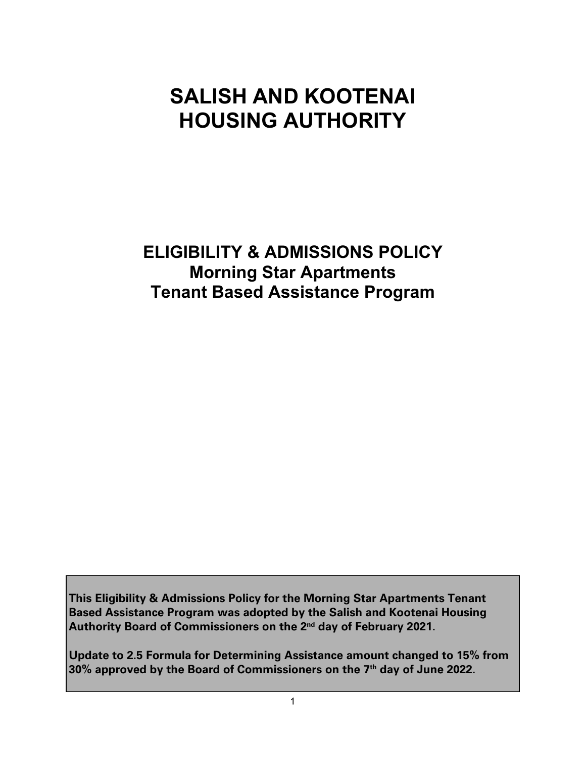# **SALISH AND KOOTENAI HOUSING AUTHORITY**

**ELIGIBILITY & ADMISSIONS POLICY Morning Star Apartments Tenant Based Assistance Program**

**This Eligibility & Admissions Policy for the Morning Star Apartments Tenant Based Assistance Program was adopted by the Salish and Kootenai Housing Authority Board of Commissioners on the 2nd day of February 2021.**

**Update to 2.5 Formula for Determining Assistance amount changed to 15% from 30% approved by the Board of Commissioners on the 7th day of June 2022.**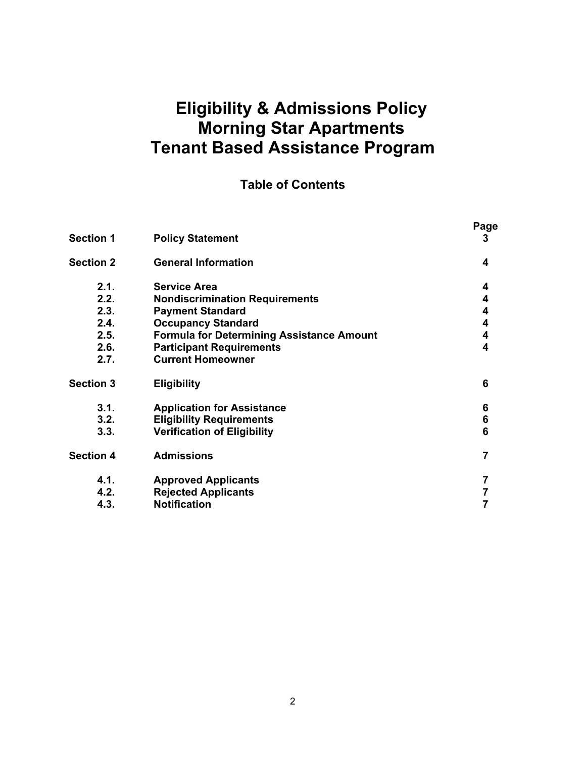#### **Eligibility & Admissions Policy Morning Star Apartments Tenant Based Assistance Program**

#### **Table of Contents**

|                  |                                                  | Page |
|------------------|--------------------------------------------------|------|
| <b>Section 1</b> | <b>Policy Statement</b>                          | 3    |
| Section 2        | <b>General Information</b>                       | 4    |
| 2.1.             | <b>Service Area</b>                              | 4    |
| 2.2.             | <b>Nondiscrimination Requirements</b>            | 4    |
| 2.3.             | <b>Payment Standard</b>                          | 4    |
| 2.4.             | <b>Occupancy Standard</b>                        | 4    |
| 2.5.             | <b>Formula for Determining Assistance Amount</b> | 4    |
| 2.6.             | <b>Participant Requirements</b>                  | 4    |
| 2.7.             | <b>Current Homeowner</b>                         |      |
| <b>Section 3</b> | <b>Eligibility</b>                               | 6    |
| 3.1.             | <b>Application for Assistance</b>                | 6    |
| 3.2.             | <b>Eligibility Requirements</b>                  | 6    |
| 3.3.             | <b>Verification of Eligibility</b>               | 6    |
| <b>Section 4</b> | <b>Admissions</b>                                | 7    |
| 4.1.             | <b>Approved Applicants</b>                       | 7    |
| 4.2.             | <b>Rejected Applicants</b>                       | 7    |
| 4.3.             | <b>Notification</b>                              | 7    |
|                  |                                                  |      |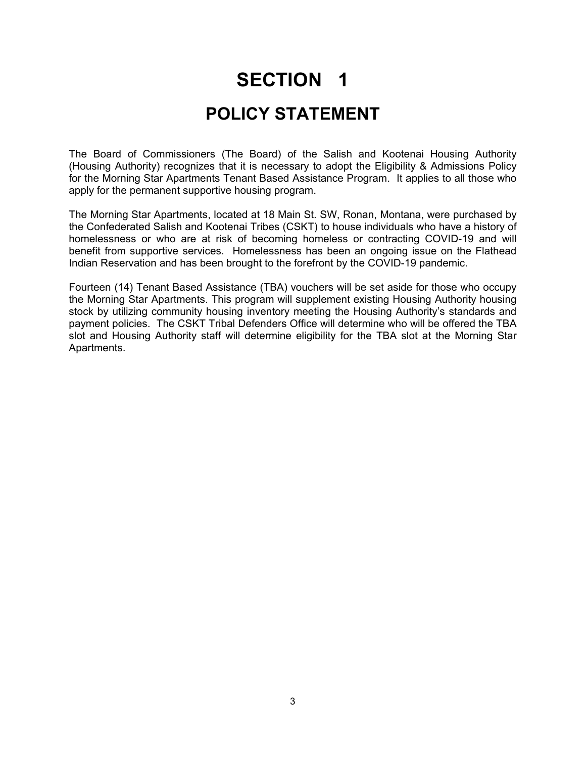# **SECTION 1 POLICY STATEMENT**

The Board of Commissioners (The Board) of the Salish and Kootenai Housing Authority (Housing Authority) recognizes that it is necessary to adopt the Eligibility & Admissions Policy for the Morning Star Apartments Tenant Based Assistance Program. It applies to all those who apply for the permanent supportive housing program.

The Morning Star Apartments, located at 18 Main St. SW, Ronan, Montana, were purchased by the Confederated Salish and Kootenai Tribes (CSKT) to house individuals who have a history of homelessness or who are at risk of becoming homeless or contracting COVID-19 and will benefit from supportive services. Homelessness has been an ongoing issue on the Flathead Indian Reservation and has been brought to the forefront by the COVID-19 pandemic.

Fourteen (14) Tenant Based Assistance (TBA) vouchers will be set aside for those who occupy the Morning Star Apartments. This program will supplement existing Housing Authority housing stock by utilizing community housing inventory meeting the Housing Authority's standards and payment policies. The CSKT Tribal Defenders Office will determine who will be offered the TBA slot and Housing Authority staff will determine eligibility for the TBA slot at the Morning Star Apartments.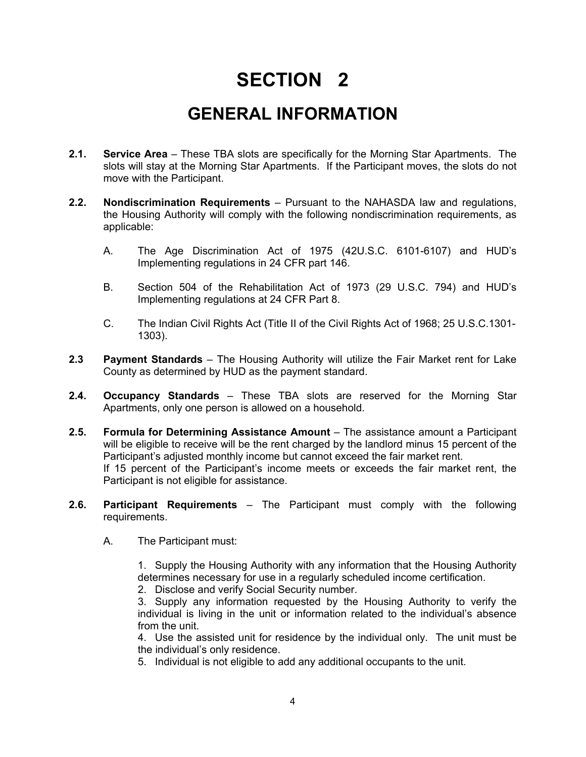## **SECTION 2**

### **GENERAL INFORMATION**

- **2.1. Service Area**  These TBA slots are specifically for the Morning Star Apartments. The slots will stay at the Morning Star Apartments. If the Participant moves, the slots do not move with the Participant.
- **2.2. Nondiscrimination Requirements** Pursuant to the NAHASDA law and regulations, the Housing Authority will comply with the following nondiscrimination requirements, as applicable:
	- A. The Age Discrimination Act of 1975 (42U.S.C. 6101-6107) and HUD's Implementing regulations in 24 CFR part 146.
	- B. Section 504 of the Rehabilitation Act of 1973 (29 U.S.C. 794) and HUD's Implementing regulations at 24 CFR Part 8.
	- C. The Indian Civil Rights Act (Title II of the Civil Rights Act of 1968; 25 U.S.C.1301- 1303).
- **2.3 Payment Standards**  The Housing Authority will utilize the Fair Market rent for Lake County as determined by HUD as the payment standard.
- **2.4. Occupancy Standards**  These TBA slots are reserved for the Morning Star Apartments, only one person is allowed on a household.
- **2.5. Formula for Determining Assistance Amount** The assistance amount a Participant will be eligible to receive will be the rent charged by the landlord minus 15 percent of the Participant's adjusted monthly income but cannot exceed the fair market rent. If 15 percent of the Participant's income meets or exceeds the fair market rent, the Participant is not eligible for assistance.
- **2.6. Participant Requirements**  The Participant must comply with the following requirements.
	- A. The Participant must:

1. Supply the Housing Authority with any information that the Housing Authority determines necessary for use in a regularly scheduled income certification.

2. Disclose and verify Social Security number.

3. Supply any information requested by the Housing Authority to verify the individual is living in the unit or information related to the individual's absence from the unit.

4. Use the assisted unit for residence by the individual only. The unit must be the individual's only residence.

5. Individual is not eligible to add any additional occupants to the unit.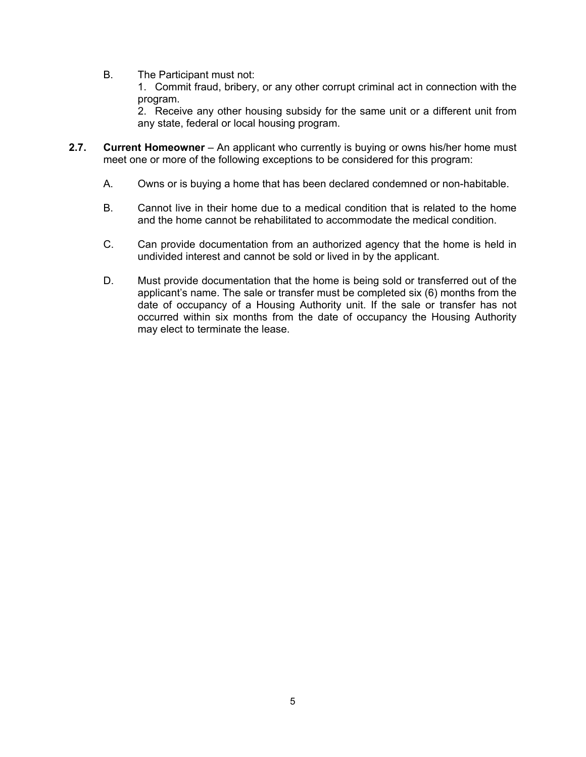B. The Participant must not:

1. Commit fraud, bribery, or any other corrupt criminal act in connection with the program.

2. Receive any other housing subsidy for the same unit or a different unit from any state, federal or local housing program.

- **2.7. Current Homeowner** An applicant who currently is buying or owns his/her home must meet one or more of the following exceptions to be considered for this program:
	- A. Owns or is buying a home that has been declared condemned or non-habitable.
	- B. Cannot live in their home due to a medical condition that is related to the home and the home cannot be rehabilitated to accommodate the medical condition.
	- C. Can provide documentation from an authorized agency that the home is held in undivided interest and cannot be sold or lived in by the applicant.
	- D. Must provide documentation that the home is being sold or transferred out of the applicant's name. The sale or transfer must be completed six (6) months from the date of occupancy of a Housing Authority unit. If the sale or transfer has not occurred within six months from the date of occupancy the Housing Authority may elect to terminate the lease.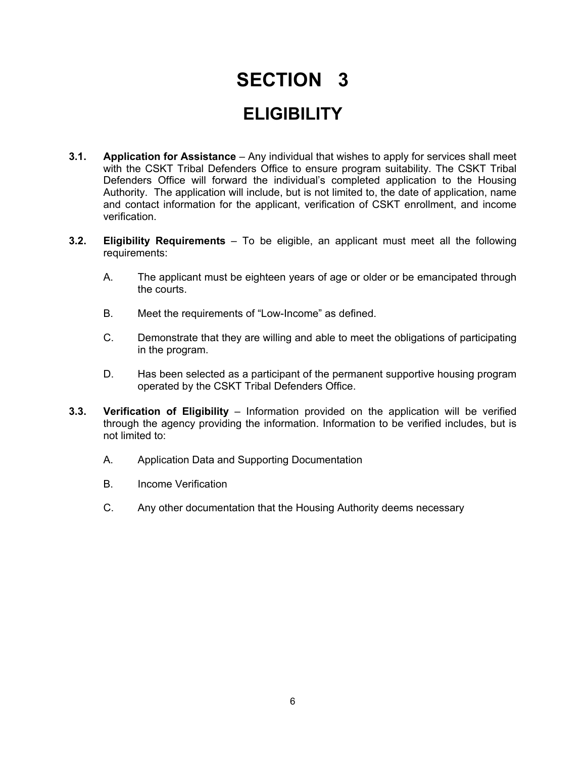# **SECTION 3 ELIGIBILITY**

- **3.1. Application for Assistance** Any individual that wishes to apply for services shall meet with the CSKT Tribal Defenders Office to ensure program suitability. The CSKT Tribal Defenders Office will forward the individual's completed application to the Housing Authority. The application will include, but is not limited to, the date of application, name and contact information for the applicant, verification of CSKT enrollment, and income verification.
- **3.2. Eligibility Requirements**  To be eligible, an applicant must meet all the following requirements:
	- A. The applicant must be eighteen years of age or older or be emancipated through the courts.
	- B. Meet the requirements of "Low-Income" as defined.
	- C. Demonstrate that they are willing and able to meet the obligations of participating in the program.
	- D. Has been selected as a participant of the permanent supportive housing program operated by the CSKT Tribal Defenders Office.
- **3.3. Verification of Eligibility** Information provided on the application will be verified through the agency providing the information. Information to be verified includes, but is not limited to:
	- A. Application Data and Supporting Documentation
	- B. Income Verification
	- C. Any other documentation that the Housing Authority deems necessary